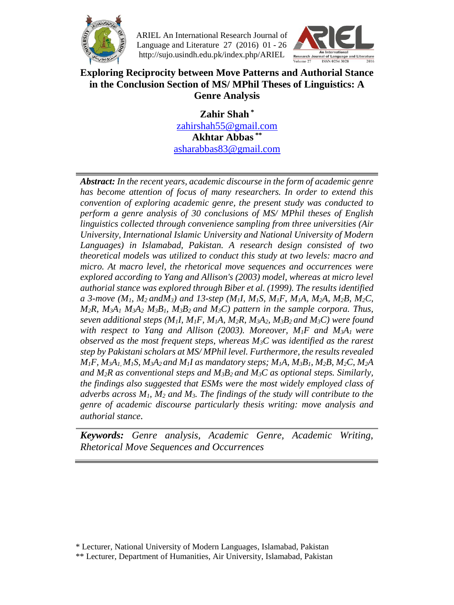

 ARIEL An International Research Journal of Language and Literature 27 (2016) 01 - 26 http://sujo.usindh.edu.pk/index.php/ARIEL



#### **Exploring Reciprocity between Move Patterns and Authorial Stance in the Conclusion Section of MS/ MPhil Theses of Linguistics: A Genre Analysis**

**Zahir Shah \*** [zahirshah55@gmail.com](mailto:zahirshah55@gmail.com) **Akhtar Abbas \*\*** [asharabbas83@gmail.com](mailto:asharabbas83@gmail.com)

*Abstract: In the recent years, academic discourse in the form of academic genre has become attention of focus of many researchers. In order to extend this convention of exploring academic genre, the present study was conducted to perform a genre analysis of 30 conclusions of MS/ MPhil theses of English linguistics collected through convenience sampling from three universities (Air University, International Islamic University and National University of Modern Languages) in Islamabad, Pakistan. A research design consisted of two theoretical models was utilized to conduct this study at two levels: macro and micro. At macro level, the rhetorical move sequences and occurrences were explored according to Yang and Allison's (2003) model, whereas at micro level authorial stance was explored through Biber et al. (1999). The results identified a 3-move (M1, M2 andM3) and 13-step (M1I, M1S, M1F, M1A, M2A, M2B, M2C,*   $M_2R$ ,  $M_3A_1 M_3A_2 M_3B_1$ ,  $M_3B_2$  and  $M_3C$ ) pattern in the sample corpora. Thus, *seven additional steps (M1I, M1F, M1A, M2R, M3A2, M3B2 and M3C) were found with respect to Yang and Allison (2003). Moreover, M1F and M3A1 were observed as the most frequent steps, whereas M3C was identified as the rarest step by Pakistani scholars at MS/ MPhil level. Furthermore, the results revealed*   $M_1F$ ,  $M_3A_1$ ,  $M_1S$ ,  $M_3A_2$  and  $M_1I$  as mandatory steps;  $M_1A$ ,  $M_3B_1$ ,  $M_2B$ ,  $M_2C$ ,  $M_2A$ *and M*<sub>2</sub>*R* as conventional steps and M<sub>3</sub> $B$ <sub>2</sub> and M<sub>3</sub> $C$  as optional steps. Similarly, *the findings also suggested that ESMs were the most widely employed class of adverbs across M1, M<sup>2</sup> and M3. The findings of the study will contribute to the genre of academic discourse particularly thesis writing: move analysis and authorial stance.* 

*Keywords: Genre analysis, Academic Genre, Academic Writing, Rhetorical Move Sequences and Occurrences*

<sup>\*</sup> Lecturer, National University of Modern Languages, Islamabad, Pakistan

<sup>\*\*</sup> Lecturer, Department of Humanities, Air University, Islamabad, Pakistan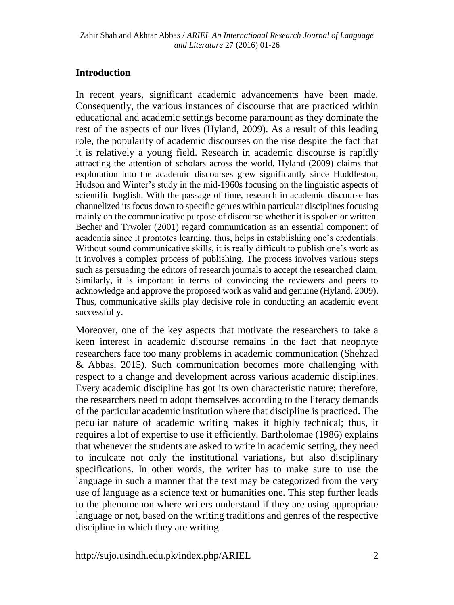## **Introduction**

In recent years, significant academic advancements have been made. Consequently, the various instances of discourse that are practiced within educational and academic settings become paramount as they dominate the rest of the aspects of our lives (Hyland, 2009). As a result of this leading role, the popularity of academic discourses on the rise despite the fact that it is relatively a young field. Research in academic discourse is rapidly attracting the attention of scholars across the world. Hyland (2009) claims that exploration into the academic discourses grew significantly since Huddleston, Hudson and Winter's study in the mid-1960s focusing on the linguistic aspects of scientific English. With the passage of time, research in academic discourse has channelized its focus down to specific genres within particular disciplines focusing mainly on the communicative purpose of discourse whether it is spoken or written. Becher and Trwoler (2001) regard communication as an essential component of academia since it promotes learning, thus, helps in establishing one's credentials. Without sound communicative skills, it is really difficult to publish one's work as it involves a complex process of publishing. The process involves various steps such as persuading the editors of research journals to accept the researched claim. Similarly, it is important in terms of convincing the reviewers and peers to acknowledge and approve the proposed work as valid and genuine (Hyland, 2009). Thus, communicative skills play decisive role in conducting an academic event successfully.

Moreover, one of the key aspects that motivate the researchers to take a keen interest in academic discourse remains in the fact that neophyte researchers face too many problems in academic communication (Shehzad & Abbas, 2015). Such communication becomes more challenging with respect to a change and development across various academic disciplines. Every academic discipline has got its own characteristic nature; therefore, the researchers need to adopt themselves according to the literacy demands of the particular academic institution where that discipline is practiced. The peculiar nature of academic writing makes it highly technical; thus, it requires a lot of expertise to use it efficiently. Bartholomae (1986) explains that whenever the students are asked to write in academic setting, they need to inculcate not only the institutional variations, but also disciplinary specifications. In other words, the writer has to make sure to use the language in such a manner that the text may be categorized from the very use of language as a science text or humanities one. This step further leads to the phenomenon where writers understand if they are using appropriate language or not, based on the writing traditions and genres of the respective discipline in which they are writing.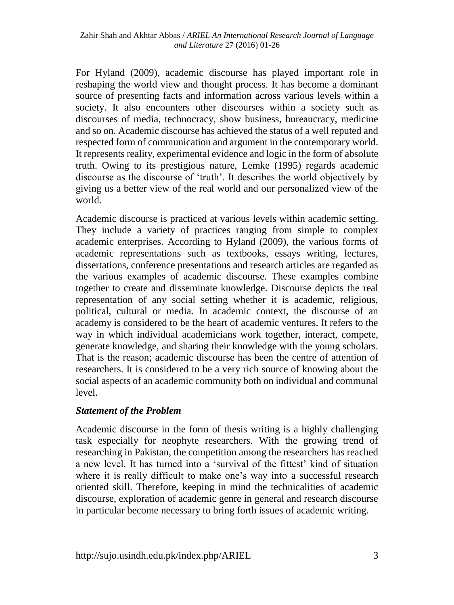For Hyland (2009), academic discourse has played important role in reshaping the world view and thought process. It has become a dominant source of presenting facts and information across various levels within a society. It also encounters other discourses within a society such as discourses of media, technocracy, show business, bureaucracy, medicine and so on. Academic discourse has achieved the status of a well reputed and respected form of communication and argument in the contemporary world. It represents reality, experimental evidence and logic in the form of absolute truth. Owing to its prestigious nature, Lemke (1995) regards academic discourse as the discourse of 'truth'. It describes the world objectively by giving us a better view of the real world and our personalized view of the world.

Academic discourse is practiced at various levels within academic setting. They include a variety of practices ranging from simple to complex academic enterprises. According to Hyland (2009), the various forms of academic representations such as textbooks, essays writing, lectures, dissertations, conference presentations and research articles are regarded as the various examples of academic discourse. These examples combine together to create and disseminate knowledge. Discourse depicts the real representation of any social setting whether it is academic, religious, political, cultural or media. In academic context, the discourse of an academy is considered to be the heart of academic ventures. It refers to the way in which individual academicians work together, interact, compete, generate knowledge, and sharing their knowledge with the young scholars. That is the reason; academic discourse has been the centre of attention of researchers. It is considered to be a very rich source of knowing about the social aspects of an academic community both on individual and communal level.

## *Statement of the Problem*

Academic discourse in the form of thesis writing is a highly challenging task especially for neophyte researchers. With the growing trend of researching in Pakistan, the competition among the researchers has reached a new level. It has turned into a 'survival of the fittest' kind of situation where it is really difficult to make one's way into a successful research oriented skill. Therefore, keeping in mind the technicalities of academic discourse, exploration of academic genre in general and research discourse in particular become necessary to bring forth issues of academic writing.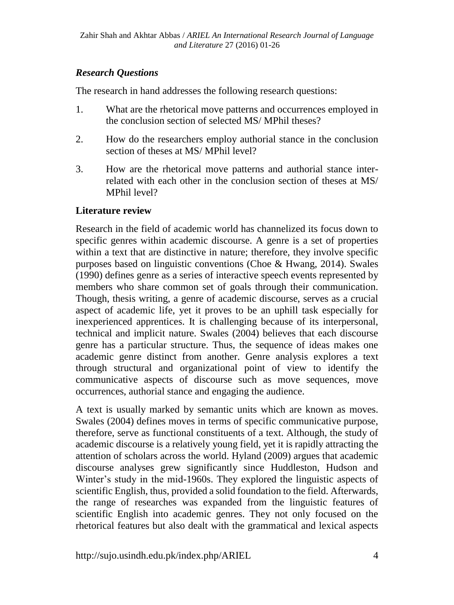## *Research Questions*

The research in hand addresses the following research questions:

- 1. What are the rhetorical move patterns and occurrences employed in the conclusion section of selected MS/ MPhil theses?
- 2. How do the researchers employ authorial stance in the conclusion section of theses at MS/ MPhil level?
- 3. How are the rhetorical move patterns and authorial stance interrelated with each other in the conclusion section of theses at MS/ MPhil level?

## **Literature review**

Research in the field of academic world has channelized its focus down to specific genres within academic discourse. A genre is a set of properties within a text that are distinctive in nature; therefore, they involve specific purposes based on linguistic conventions (Choe & Hwang, 2014). Swales (1990) defines genre as a series of interactive speech events represented by members who share common set of goals through their communication. Though, thesis writing, a genre of academic discourse, serves as a crucial aspect of academic life, yet it proves to be an uphill task especially for inexperienced apprentices. It is challenging because of its interpersonal, technical and implicit nature. Swales (2004) believes that each discourse genre has a particular structure. Thus, the sequence of ideas makes one academic genre distinct from another. Genre analysis explores a text through structural and organizational point of view to identify the communicative aspects of discourse such as move sequences, move occurrences, authorial stance and engaging the audience.

A text is usually marked by semantic units which are known as moves. Swales (2004) defines moves in terms of specific communicative purpose, therefore, serve as functional constituents of a text. Although, the study of academic discourse is a relatively young field, yet it is rapidly attracting the attention of scholars across the world. Hyland (2009) argues that academic discourse analyses grew significantly since Huddleston, Hudson and Winter's study in the mid-1960s. They explored the linguistic aspects of scientific English, thus, provided a solid foundation to the field. Afterwards, the range of researches was expanded from the linguistic features of scientific English into academic genres. They not only focused on the rhetorical features but also dealt with the grammatical and lexical aspects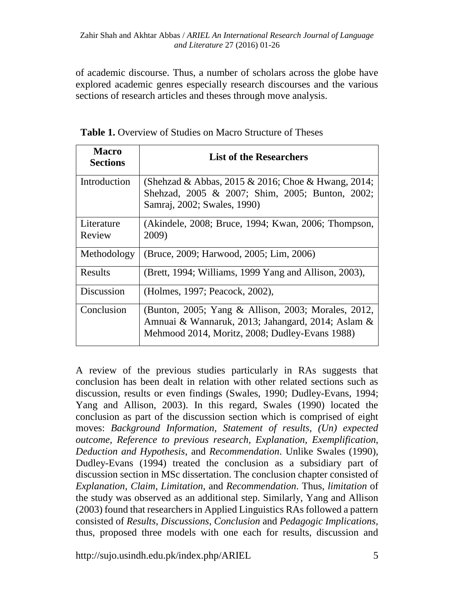of academic discourse. Thus, a number of scholars across the globe have explored academic genres especially research discourses and the various sections of research articles and theses through move analysis.

| <b>Macro</b><br><b>Sections</b> | <b>List of the Researchers</b>                                                                                                                             |
|---------------------------------|------------------------------------------------------------------------------------------------------------------------------------------------------------|
| Introduction                    | (Shehzad & Abbas, 2015 & 2016; Choe & Hwang, 2014;<br>Shehzad, 2005 & 2007; Shim, 2005; Bunton, 2002;<br>Samraj, 2002; Swales, 1990)                       |
| Literature<br>Review            | (Akindele, 2008; Bruce, 1994; Kwan, 2006; Thompson,<br>2009)                                                                                               |
| Methodology                     | (Bruce, 2009; Harwood, 2005; Lim, 2006)                                                                                                                    |
| Results                         | (Brett, 1994; Williams, 1999 Yang and Allison, 2003),                                                                                                      |
| Discussion                      | (Holmes, 1997; Peacock, 2002),                                                                                                                             |
| Conclusion                      | (Bunton, 2005; Yang & Allison, 2003; Morales, 2012,<br>Amnuai & Wannaruk, 2013; Jahangard, 2014; Aslam &<br>Mehmood 2014, Moritz, 2008; Dudley-Evans 1988) |

**Table 1.** Overview of Studies on Macro Structure of Theses

A review of the previous studies particularly in RAs suggests that conclusion has been dealt in relation with other related sections such as discussion, results or even findings (Swales, 1990; Dudley-Evans, 1994; Yang and Allison, 2003). In this regard, Swales (1990) located the conclusion as part of the discussion section which is comprised of eight moves: *Background Information, Statement of results, (Un) expected outcome, Reference to previous research, Explanation, Exemplification, Deduction and Hypothesis*, and *Recommendation*. Unlike Swales (1990), Dudley-Evans (1994) treated the conclusion as a subsidiary part of discussion section in MSc dissertation. The conclusion chapter consisted of *Explanation*, *Claim*, *Limitation*, and *Recommendation*. Thus, *limitation* of the study was observed as an additional step. Similarly, Yang and Allison (2003) found that researchers in Applied Linguistics RAs followed a pattern consisted of *Results*, *Discussions*, *Conclusion* and *Pedagogic Implications,*  thus, proposed three models with one each for results, discussion and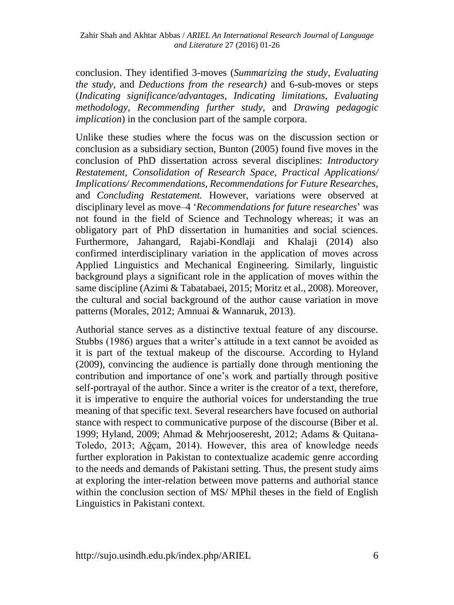conclusion. They identified 3-moves (*Summarizing the study*, *Evaluating the study*, and *Deductions from the research)* and 6-sub-moves or steps (*Indicating significance/advantages, Indicating limitations, Evaluating methodology, Recommending further study,* and *Drawing pedagogic implication*) in the conclusion part of the sample corpora.

Unlike these studies where the focus was on the discussion section or conclusion as a subsidiary section, Bunton (2005) found five moves in the conclusion of PhD dissertation across several disciplines: *Introductory Restatement, Consolidation of Research Space, Practical Applications/ Implications/ Recommendations, Recommendations for Future Researches,*  and *Concluding Restatement.* However, variations were observed at disciplinary level as move–4 '*Recommendations for future researches*' was not found in the field of Science and Technology whereas; it was an obligatory part of PhD dissertation in humanities and social sciences. Furthermore, Jahangard, Rajabi-Kondlaji and Khalaji (2014) also confirmed interdisciplinary variation in the application of moves across Applied Linguistics and Mechanical Engineering. Similarly, linguistic background plays a significant role in the application of moves within the same discipline (Azimi & Tabatabaei, 2015; Moritz et al., 2008). Moreover, the cultural and social background of the author cause variation in move patterns (Morales, 2012; Amnuai & Wannaruk, 2013).

Authorial stance serves as a distinctive textual feature of any discourse. Stubbs (1986) argues that a writer's attitude in a text cannot be avoided as it is part of the textual makeup of the discourse. According to Hyland (2009), convincing the audience is partially done through mentioning the contribution and importance of one's work and partially through positive self-portrayal of the author. Since a writer is the creator of a text, therefore, it is imperative to enquire the authorial voices for understanding the true meaning of that specific text. Several researchers have focused on authorial stance with respect to communicative purpose of the discourse (Biber et al. 1999; Hyland, 2009; Ahmad & Mehrjooseresht, 2012; Adams & Quitana-Toledo, 2013; Ağçam, 2014). However, this area of knowledge needs further exploration in Pakistan to contextualize academic genre according to the needs and demands of Pakistani setting. Thus, the present study aims at exploring the inter-relation between move patterns and authorial stance within the conclusion section of MS/ MPhil theses in the field of English Linguistics in Pakistani context.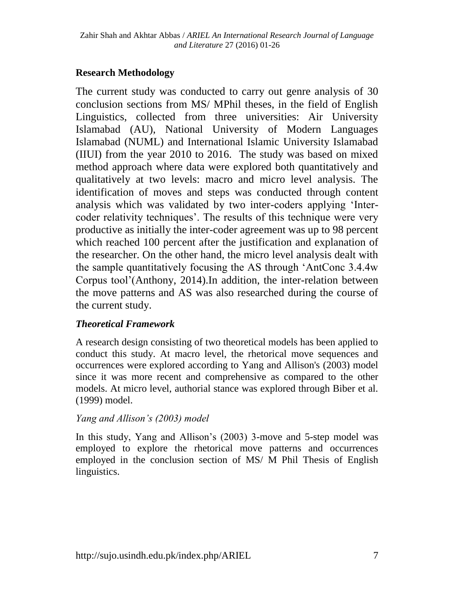# **Research Methodology**

The current study was conducted to carry out genre analysis of 30 conclusion sections from MS/ MPhil theses, in the field of English Linguistics, collected from three universities: Air University Islamabad (AU), National University of Modern Languages Islamabad (NUML) and International Islamic University Islamabad (IIUI) from the year 2010 to 2016. The study was based on mixed method approach where data were explored both quantitatively and qualitatively at two levels: macro and micro level analysis. The identification of moves and steps was conducted through content analysis which was validated by two inter-coders applying 'Intercoder relativity techniques'. The results of this technique were very productive as initially the inter-coder agreement was up to 98 percent which reached 100 percent after the justification and explanation of the researcher. On the other hand, the micro level analysis dealt with the sample quantitatively focusing the AS through 'AntConc 3.4.4w Corpus tool'[\(Anthony,](https://www.google.com.pk/url?sa=t&rct=j&q=&esrc=s&source=web&cd=1&cad=rja&uact=8&ved=0ahUKEwjfhfPTjszUAhUIqI8KHRXaDCYQFggjMAA&url=http%3A%2F%2Fwww.laurenceanthony.net%2Fsoftware%2Fantconc%2F&usg=AFQjCNHXI2L-yTSZzlvDOiehuVuJt1I0Mw&sig2=EjFRDI4ZvfbYO5zT8xssPA) 2014).In addition, the inter-relation between the move patterns and AS was also researched during the course of the current study.

## *Theoretical Framework*

A research design consisting of two theoretical models has been applied to conduct this study. At macro level, the rhetorical move sequences and occurrences were explored according to Yang and Allison's (2003) model since it was more recent and comprehensive as compared to the other models. At micro level, authorial stance was explored through Biber et al. (1999) model.

## *Yang and Allison's (2003) model*

In this study, Yang and Allison's (2003) 3-move and 5-step model was employed to explore the rhetorical move patterns and occurrences employed in the conclusion section of MS/ M Phil Thesis of English linguistics.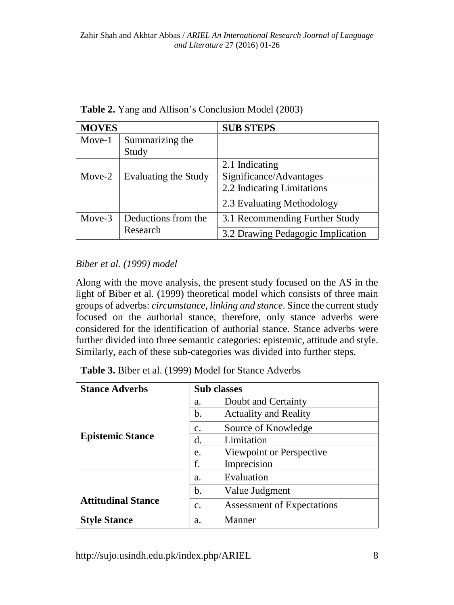| <b>MOVES</b>                   |                          | <b>SUB STEPS</b>                          |  |  |  |  |  |
|--------------------------------|--------------------------|-------------------------------------------|--|--|--|--|--|
| Move-1                         | Summarizing the<br>Study |                                           |  |  |  |  |  |
| Evaluating the Study<br>Move-2 |                          | 2.1 Indicating<br>Significance/Advantages |  |  |  |  |  |
|                                |                          | 2.2 Indicating Limitations                |  |  |  |  |  |
|                                |                          | 2.3 Evaluating Methodology                |  |  |  |  |  |
| Move-3                         | Deductions from the      | 3.1 Recommending Further Study            |  |  |  |  |  |
|                                | Research                 | 3.2 Drawing Pedagogic Implication         |  |  |  |  |  |

**Table 2.** Yang and Allison's Conclusion Model (2003)

## *Biber et al. (1999) model*

Along with the move analysis, the present study focused on the AS in the light of Biber et al. (1999) theoretical model which consists of three main groups of adverbs: *circumstance, linking and stance*. Since the current study focused on the authorial stance, therefore, only stance adverbs were considered for the identification of authorial stance. Stance adverbs were further divided into three semantic categories: epistemic, attitude and style. Similarly, each of these sub-categories was divided into further steps.

**Table 3.** Biber et al. (1999) Model for Stance Adverbs

| <b>Stance Adverbs</b>     | <b>Sub</b> classes |                              |  |  |  |
|---------------------------|--------------------|------------------------------|--|--|--|
|                           | a.                 | Doubt and Certainty          |  |  |  |
|                           | b.                 | <b>Actuality and Reality</b> |  |  |  |
|                           | c.                 | Source of Knowledge          |  |  |  |
| <b>Epistemic Stance</b>   | d.                 | Limitation                   |  |  |  |
|                           | e.                 | Viewpoint or Perspective     |  |  |  |
|                           | f.                 | Imprecision                  |  |  |  |
|                           | a.                 | Evaluation                   |  |  |  |
|                           | b.                 | Value Judgment               |  |  |  |
| <b>Attitudinal Stance</b> | c.                 | Assessment of Expectations   |  |  |  |
| <b>Style Stance</b>       | a.                 | Manner                       |  |  |  |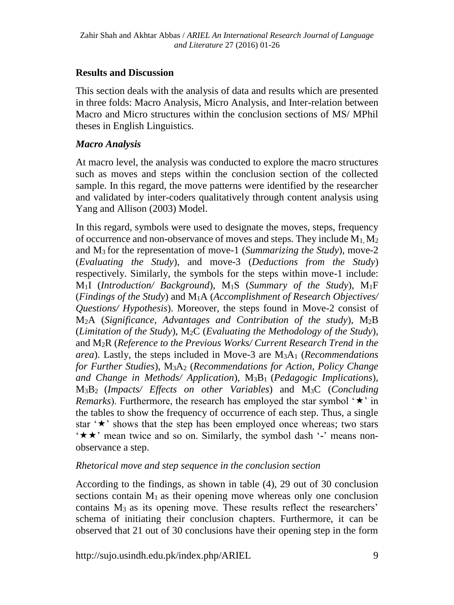#### **Results and Discussion**

This section deals with the analysis of data and results which are presented in three folds: Macro Analysis, Micro Analysis, and Inter-relation between Macro and Micro structures within the conclusion sections of MS/ MPhil theses in English Linguistics.

#### *Macro Analysis*

At macro level, the analysis was conducted to explore the macro structures such as moves and steps within the conclusion section of the collected sample. In this regard, the move patterns were identified by the researcher and validated by inter-coders qualitatively through content analysis using Yang and Allison (2003) Model.

In this regard, symbols were used to designate the moves, steps, frequency of occurrence and non-observance of moves and steps. They include  $M_1, M_2$ and M3 for the representation of move-1 (*Summarizing the Study*), move-2 (*Evaluating the Study*), and move-3 (*Deductions from the Study*) respectively. Similarly, the symbols for the steps within move-1 include: M1I (*Introduction/ Background*), M1S (*Summary of the Study*), M1F (*Findings of the Study*) and M1A (*Accomplishment of Research Objectives/ Questions/ Hypothesis*). Moreover, the steps found in Move-2 consist of M2A (*Significance, Advantages and Contribution of the study*), M2B (*Limitation of the Study*), M2C (*Evaluating the Methodology of the Study*), and M2R (*Reference to the Previous Works/ Current Research Trend in the area*). Lastly, the steps included in Move-3 are M3A<sup>1</sup> (*Recommendations for Further Studies*), M3A<sup>2</sup> (*Recommendations for Action, Policy Change and Change in Methods/ Application*), M3B1 (*Pedagogic Implications*), M3B2 (*Impacts/ Effects on other Variables*) and M3C (*Concluding Remarks*). Furthermore, the research has employed the star symbol  $\star$  in the tables to show the frequency of occurrence of each step. Thus, a single star  $\star$  shows that the step has been employed once whereas; two stars \*\*\* mean twice and so on. Similarly, the symbol dash '-' means nonobservance a step.

#### *Rhetorical move and step sequence in the conclusion section*

According to the findings, as shown in table (4), 29 out of 30 conclusion sections contain  $M_1$  as their opening move whereas only one conclusion contains M3 as its opening move. These results reflect the researchers' schema of initiating their conclusion chapters. Furthermore, it can be observed that 21 out of 30 conclusions have their opening step in the form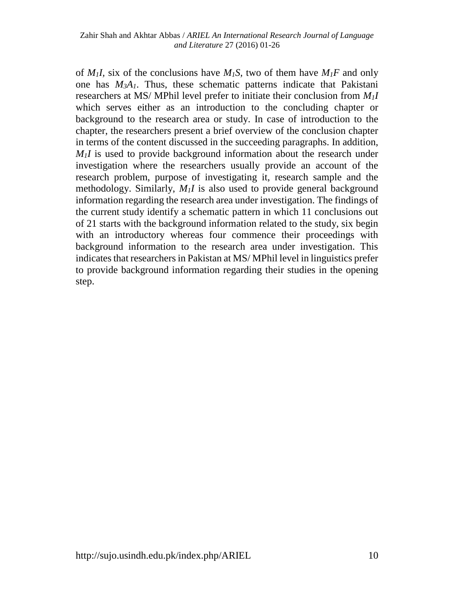of  $M_1I$ , six of the conclusions have  $M_1S$ , two of them have  $M_1F$  and only one has *M3A1*. Thus, these schematic patterns indicate that Pakistani researchers at MS/ MPhil level prefer to initiate their conclusion from *M1I* which serves either as an introduction to the concluding chapter or background to the research area or study. In case of introduction to the chapter, the researchers present a brief overview of the conclusion chapter in terms of the content discussed in the succeeding paragraphs. In addition,  $M_1$ *I* is used to provide background information about the research under investigation where the researchers usually provide an account of the research problem, purpose of investigating it, research sample and the methodology. Similarly, *M1I* is also used to provide general background information regarding the research area under investigation. The findings of the current study identify a schematic pattern in which 11 conclusions out of 21 starts with the background information related to the study, six begin with an introductory whereas four commence their proceedings with background information to the research area under investigation. This indicates that researchers in Pakistan at MS/ MPhil level in linguistics prefer to provide background information regarding their studies in the opening step.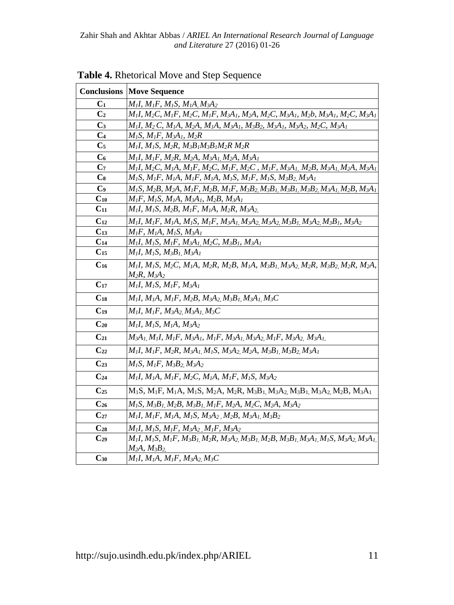|                | <b>Conclusions   Move Sequence</b>                                                                                                                                                                                                                                                                             |
|----------------|----------------------------------------------------------------------------------------------------------------------------------------------------------------------------------------------------------------------------------------------------------------------------------------------------------------|
| $C_1$          | $M_1I, M_1F, M_1S, M_1A, M_3A_2$                                                                                                                                                                                                                                                                               |
| C <sub>2</sub> | $M_1$ I, M <sub>2</sub> C, M <sub>1</sub> F, M <sub>2</sub> C, M <sub>1</sub> F, M <sub>3</sub> A <sub>1</sub> , M <sub>2</sub> A, M <sub>2</sub> C, M <sub>3</sub> A <sub>1</sub> , M <sub>2</sub> b, M <sub>3</sub> A <sub>1</sub> , M <sub>2</sub> C, M <sub>3</sub> A <sub>1</sub>                         |
| $C_3$          | $M_I$ I, M2 C, M1A, M2A, M1A, M3A1, M3B2, M3A1, M3A2, M2C, M3A1                                                                                                                                                                                                                                                |
| $\mathbf{C}_4$ | $M_1S, M_1F, M_3A_1, M_2R$                                                                                                                                                                                                                                                                                     |
| $\mathbf{C}_5$ | $M_I$ I, M <sub>I</sub> S, M <sub>2</sub> R, M <sub>3</sub> B <sub>1</sub> M <sub>3</sub> B <sub>1</sub> M <sub>2</sub> R M <sub>2</sub> R                                                                                                                                                                     |
| $\mathbf{C}_6$ | $M_1I, M_1F, M_2R, M_2A, M_3A_1, M_2A, M_3A_1$                                                                                                                                                                                                                                                                 |
| C <sub>7</sub> | $M_1I, M_2C, M_1A, M_1F, M_2C, M_1F, M_2C, M_1F, M_3A_1, M_2B, M_3A_1, M_2A, M_3A_1$                                                                                                                                                                                                                           |
| $\bf C_8$      | $M_1S, M_1F, M_1A, M_1F, M_1A, M_1S, M_1F, M_1S, M_3B_2, M_3A_1$                                                                                                                                                                                                                                               |
| $\mathbf{C}_9$ | $M_1S, M_2B, M_2A, M_1F, M_2B, M_1F, M_3B_2, M_3B_1, M_3B_1, M_3B_2, M_3A_1, M_2B, M_3A_1$                                                                                                                                                                                                                     |
| $C_{10}$       | $M_1F$ , $M_1S$ , $M_1A$ , $M_3A_1$ , $M_2B$ , $M_3A_1$                                                                                                                                                                                                                                                        |
| $C_{11}$       | $M_1I, M_1S, M_2B, M_1F, M_1A, M_2R, M_3A_2$                                                                                                                                                                                                                                                                   |
| $C_{12}$       | $M_1$ I, M <sub>1</sub> F, M <sub>1</sub> A, M <sub>1</sub> S, M <sub>1</sub> F, M <sub>3</sub> A <sub>1</sub> , M <sub>3</sub> A <sub>2</sub> , M <sub>3</sub> A <sub>2</sub> , M <sub>3</sub> B <sub>1</sub> , M <sub>3</sub> A <sub>2</sub> , M <sub>3</sub> B <sub>1</sub> , M <sub>3</sub> A <sub>2</sub> |
| $C_{13}$       | $M_1F$ , $M_1A$ , $M_1S$ , $M_3A_1$                                                                                                                                                                                                                                                                            |
| $C_{14}$       | $M_1I, M_1S, M_1F, M_3A_1, M_2C, M_3B_1, M_3A_1$                                                                                                                                                                                                                                                               |
| $C_{15}$       | $M_1I, M_1S, M_3B_1, M_3A_1$                                                                                                                                                                                                                                                                                   |
| $C_{16}$       | $M_1I, M_1S, M_2C, M_1A, M_2R, M_2B, M_1A, M_3B_1, M_3A_2, M_2R, M_3B_2, M_2R, M_2A,$                                                                                                                                                                                                                          |
|                | $M_2R, M_3A_2$                                                                                                                                                                                                                                                                                                 |
| $C_{17}$       | $M_1I, M_1S, M_1F, M_3A_1$                                                                                                                                                                                                                                                                                     |
| $C_{18}$       | $M_1I, M_1A, M_1F, M_2B, M_3A_2, M_3B_1, M_3A_1, M_3C$                                                                                                                                                                                                                                                         |
| $C_{19}$       | $M_1I, M_1F, M_3A_2, M_3A_1, M_3C$                                                                                                                                                                                                                                                                             |
| $C_{20}$       | $M_1I, M_1S, M_1A, M_3A_2$                                                                                                                                                                                                                                                                                     |
| $C_{21}$       | $M_3A_1, M_1I, M_1F, M_3A_1, M_1F, M_3A_1, M_3A_2, M_1F, M_3A_2, M_3A_1$                                                                                                                                                                                                                                       |
| $C_{22}$       | $M_1I, M_1F, M_2R, M_3A_1, M_1S, M_3A_2, M_2A, M_3B_1, M_3B_2, M_3A_1$                                                                                                                                                                                                                                         |
| $C_{23}$       | $M_1S, M_1F, M_3B_2, M_3A_2$                                                                                                                                                                                                                                                                                   |
| $C_{24}$       | $M_1I, M_1A, M_1F, M_2C, M_1A, M_1F, M_1S, M_3A_2$                                                                                                                                                                                                                                                             |
| $C_{25}$       | $M_1S$ , $M_1F$ , $M_1A$ , $M_1S$ , $M_2A$ , $M_2R$ , $M_3B_1$ , $M_3A_2$ , $M_3B_1$ , $M_3A_2$ , $M_2B$ , $M_3A_1$                                                                                                                                                                                            |
| $C_{26}$       | $M_1S, M_3B_1, M_2B, M_3B_1, M_1F, M_2A, M_2C, M_2A, M_3A_2$                                                                                                                                                                                                                                                   |
| $C_{27}$       | $M_1I, M_1F, M_1A, M_1S, M_3A_2, M_2B, M_3A_1, M_3B_2$                                                                                                                                                                                                                                                         |
| $C_{28}$       | $M_1I, M_1S, M_1F, M_3A_2, M_1F, M_3A_2$                                                                                                                                                                                                                                                                       |
| $C_{29}$       | $M_1I, M_1S, M_1F, M_3B_1, M_2R, M_3A_2, M_3B_1, M_2B, M_3B_1, M_3A_1, M_1S, M_3A_2, M_3A_1,$                                                                                                                                                                                                                  |
|                | $M_2A, M_3B_2$                                                                                                                                                                                                                                                                                                 |
| $C_{30}$       | $M_1I, M_1A, M_1F, M_3A_2, M_3C$                                                                                                                                                                                                                                                                               |

**Table 4.** Rhetorical Move and Step Sequence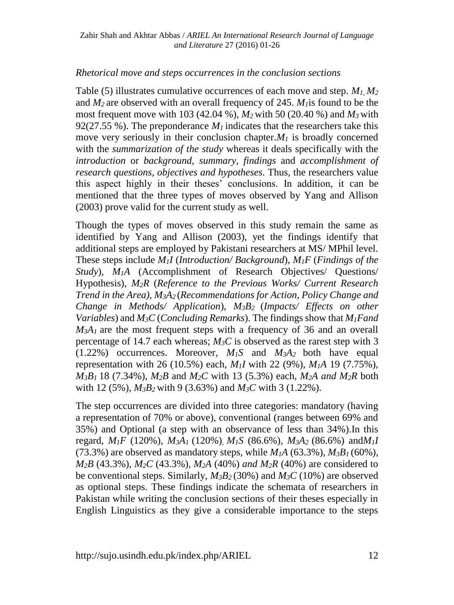#### *Rhetorical move and steps occurrences in the conclusion sections*

Table (5) illustrates cumulative occurrences of each move and step. *M1, M<sup>2</sup>* and *M2* are observed with an overall frequency of 245. *M1*is found to be the most frequent move with 103 (42.04 %), *M2* with 50 (20.40 %) and *M3* with 92(27.55 %). The preponderance  $M<sub>I</sub>$  indicates that the researchers take this move very seriously in their conclusion chapter. $M<sub>1</sub>$  is broadly concerned with the *summarization of the study* whereas it deals specifically with the *introduction* or *background*, *summary*, *findings* and *accomplishment of research questions*, *objectives and hypotheses*. Thus, the researchers value this aspect highly in their theses' conclusions. In addition, it can be mentioned that the three types of moves observed by Yang and Allison (2003) prove valid for the current study as well.

Though the types of moves observed in this study remain the same as identified by Yang and Allison (2003), yet the findings identify that additional steps are employed by Pakistani researchers at MS/ MPhil level. These steps include *M1I* (*Introduction/ Background*), *M1F* (*Findings of the Study*), *M1A* (Accomplishment of Research Objectives/ Questions/ Hypothesis), *M2R* (*Reference to the Previous Works/ Current Research Trend in the Area), M3A2* (*Recommendations for Action*, *Policy Change and Change in Methods/ Application*), *M3B2* (*Impacts/ Effects on other Variables*) and *M3C* (*Concluding Remarks*). The findings show that *M1Fand*   $M_3A_1$  are the most frequent steps with a frequency of 36 and an overall percentage of 14.7 each whereas; *M3C* is observed as the rarest step with 3  $(1.22\%)$  occurrences. Moreover,  $M<sub>1</sub>S$  and  $M<sub>3</sub>A<sub>2</sub>$  both have equal representation with 26 (10.5%) each, *M1I* with 22 (9%)*, M1A* 19 (7.75%), *M3B1* 18 (7.34%), *M2B* and *M2C* with 13 (5.3%) each, *M2A and M2R* both with 12 (5%), *M3B2* with 9 (3.63%) and *M3C* with 3 (1.22%).

The step occurrences are divided into three categories: mandatory (having a representation of 70% or above), conventional (ranges between 69% and 35%) and Optional (a step with an observance of less than 34%).In this regard,  $M_1F$  (120%),  $M_3A_1$  (120%),  $M_1S$  (86.6%),  $M_3A_2$  (86.6%) and  $M_1I$ (73.3%) are observed as mandatory steps, while  $M_1A$  (63.3%),  $M_3B_1$  (60%), *M2B* (43.3%)*, M2C* (43.3%), *M2A* (40%) *and M2R* (40%) are considered to be conventional steps. Similarly,  $M_3B_2$  (30%) and  $M_3C$  (10%) are observed as optional steps. These findings indicate the schemata of researchers in Pakistan while writing the conclusion sections of their theses especially in English Linguistics as they give a considerable importance to the steps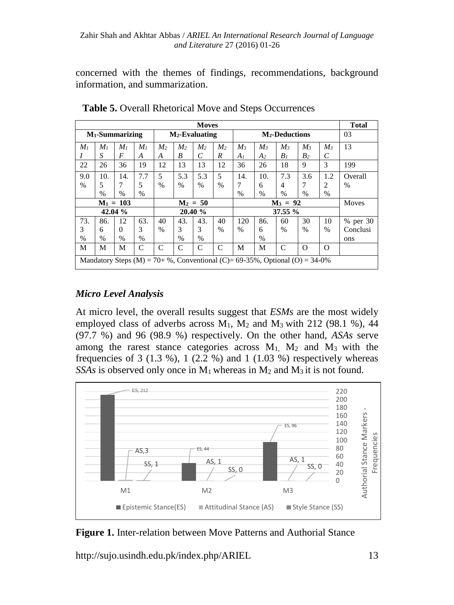concerned with the themes of findings, recommendations, background information, and summarization.

| <b>Moves</b>              |                                                                             |                |                |                   |                |                |                |                            | <b>Total</b> |                |                |               |               |
|---------------------------|-----------------------------------------------------------------------------|----------------|----------------|-------------------|----------------|----------------|----------------|----------------------------|--------------|----------------|----------------|---------------|---------------|
| $M_1$ -Summarizing        |                                                                             |                |                | $M_2$ -Evaluating |                |                |                | M <sub>2</sub> -Deductions |              |                |                |               | 03            |
| M <sub>1</sub>            | M <sub>1</sub>                                                              | M <sub>I</sub> | M <sub>1</sub> | M <sub>2</sub>    | M <sub>2</sub> | M <sub>2</sub> | M <sub>2</sub> | $M_3$                      | $M_3$        | $M_3$          | $M_3$          | $M_3$         | 13            |
|                           | S                                                                           | $\overline{F}$ | A              | А                 | B              | C              | R              | A <sub>I</sub>             | A2           | B <sub>I</sub> | B <sub>2</sub> | C             |               |
| 22                        | 26                                                                          | 36             | 19             | 12                | 13             | 13             | 12             | 36                         | 26           | 18             | 9              | 3             | 199           |
| 9.0                       | 10.                                                                         | 14.            | 7.7            | 5                 | 5.3            | 5.3            | 5              | 14.                        | 10.          | 7.3            | 3.6            | 1.2           | Overall       |
| $\frac{0}{0}$             | 5                                                                           | 7              | 5              | $\frac{0}{0}$     | $\frac{0}{0}$  | $\frac{0}{0}$  | $\%$           | 7                          | 6            | $\overline{4}$ | 7              | 2             | $\frac{0}{0}$ |
|                           | $\frac{0}{0}$                                                               | $\frac{0}{0}$  | $\%$           |                   |                |                |                | $\frac{0}{0}$              | %            | $\%$           | $\%$           | $\%$          |               |
| $M_1 = 103$<br>$M_2 = 50$ |                                                                             |                |                |                   |                |                | $M_3 = 92$     |                            |              |                |                | Moves         |               |
|                           |                                                                             | 42.04 %        |                | 20.40 %           |                |                |                | 37.55 %                    |              |                |                |               |               |
| 73.                       | 86.                                                                         | 12             | 63.            | 40                | 43.            | 43.            | 40             | 120                        | 86.          | 60             | 30             | 10            | % per 30      |
| 3                         | 6                                                                           | $\Omega$       | 3              | $\frac{0}{0}$     | 3              | 3              | $\%$           | $\frac{0}{0}$              | 6            | $\%$           | $\%$           | $\frac{0}{0}$ | Conclusi      |
| %                         | $\frac{0}{0}$                                                               | $\frac{0}{0}$  | %              |                   | %              | $\%$           |                |                            | $\%$         |                |                |               | ons           |
| М                         | М                                                                           | М              | C              | C                 | C              | C              | C              | M                          | М            | C              | $\Omega$       | $\Omega$      |               |
|                           | Mandatory Steps (M) = 70+ %, Conventional (C)= 69-35%, Optional (O) = 34-0% |                |                |                   |                |                |                |                            |              |                |                |               |               |

**Table 5.** Overall Rhetorical Move and Steps Occurrences

## *Micro Level Analysis*

At micro level, the overall results suggest that *ESMs* are the most widely employed class of adverbs across  $M_1$ ,  $M_2$  and  $M_3$  with 212 (98.1 %), 44 (97.7 %) and 96 (98.9 %) respectively. On the other hand, *ASAs* serve among the rarest stance categories across  $M_1$ ,  $M_2$  and  $M_3$  with the frequencies of 3 (1.3 %), 1 (2.2 %) and 1 (1.03 %) respectively whereas *SSAs* is observed only once in  $M_1$  whereas in  $M_2$  and  $M_3$  it is not found.



**Figure 1.** Inter-relation between Move Patterns and Authorial Stance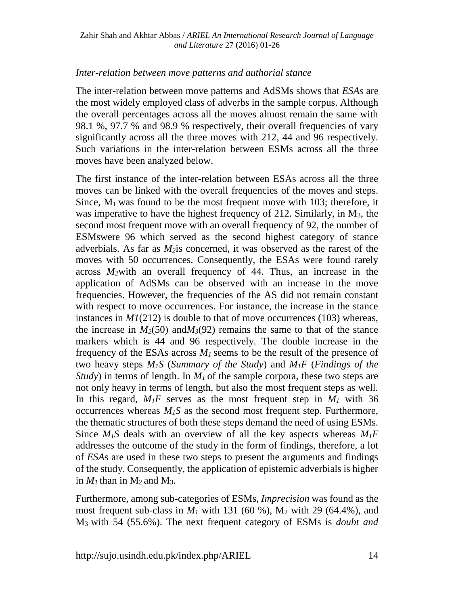#### *Inter-relation between move patterns and authorial stance*

The inter-relation between move patterns and AdSMs shows that *ESAs* are the most widely employed class of adverbs in the sample corpus. Although the overall percentages across all the moves almost remain the same with 98.1 %, 97.7 % and 98.9 % respectively, their overall frequencies of vary significantly across all the three moves with 212, 44 and 96 respectively. Such variations in the inter-relation between ESMs across all the three moves have been analyzed below.

The first instance of the inter-relation between ESAs across all the three moves can be linked with the overall frequencies of the moves and steps. Since,  $M_1$  was found to be the most frequent move with 103; therefore, it was imperative to have the highest frequency of 212. Similarly, in M<sub>3</sub>, the second most frequent move with an overall frequency of 92, the number of ESMswere 96 which served as the second highest category of stance adverbials. As far as *M2*is concerned, it was observed as the rarest of the moves with 50 occurrences. Consequently, the ESAs were found rarely across *M2*with an overall frequency of 44. Thus, an increase in the application of AdSMs can be observed with an increase in the move frequencies. However, the frequencies of the AS did not remain constant with respect to move occurrences. For instance, the increase in the stance instances in *M1*(212) is double to that of move occurrences (103) whereas, the increase in  $M_2(50)$  and  $M_3(92)$  remains the same to that of the stance markers which is 44 and 96 respectively. The double increase in the frequency of the ESAs across *M1* seems to be the result of the presence of two heavy steps *M1S* (*Summary of the Study*) and *M1F* (*Findings of the Study*) in terms of length. In *M<sub>1</sub>* of the sample corpora, these two steps are not only heavy in terms of length, but also the most frequent steps as well. In this regard,  $M_1F$  serves as the most frequent step in  $M_1$  with 36 occurrences whereas *M1S* as the second most frequent step. Furthermore, the thematic structures of both these steps demand the need of using ESMs. Since  $M_1S$  deals with an overview of all the key aspects whereas  $M_1F$ addresses the outcome of the study in the form of findings, therefore, a lot of *ESA*s are used in these two steps to present the arguments and findings of the study. Consequently, the application of epistemic adverbials is higher in  $M_1$  than in  $M_2$  and  $M_3$ .

Furthermore, among sub-categories of ESMs, *Imprecision* was found as the most frequent sub-class in  $M_1$  with 131 (60 %),  $M_2$  with 29 (64.4%), and M3 with 54 (55.6%). The next frequent category of ESMs is *doubt and*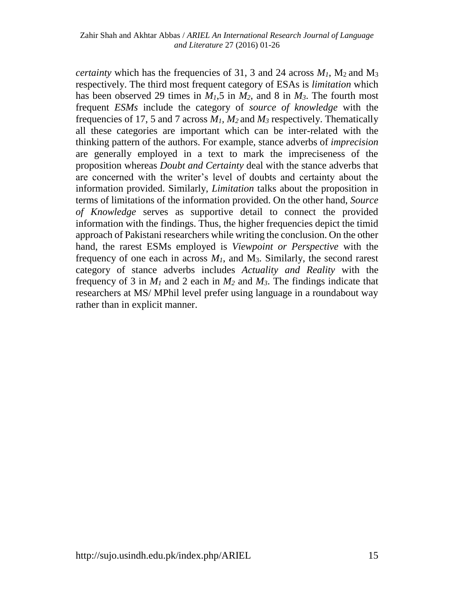*certainty* which has the frequencies of 31, 3 and 24 across  $M_1$ ,  $M_2$  and  $M_3$ respectively. The third most frequent category of ESAs is *limitation* which has been observed 29 times in  $M_1$ ,5 in  $M_2$ , and 8 in  $M_3$ . The fourth most frequent *ESMs* include the category of *source of knowledge* with the frequencies of 17, 5 and 7 across *M1, M<sup>2</sup>* and *M<sup>3</sup>* respectively. Thematically all these categories are important which can be inter-related with the thinking pattern of the authors. For example, stance adverbs of *imprecision* are generally employed in a text to mark the impreciseness of the proposition whereas *Doubt and Certainty* deal with the stance adverbs that are concerned with the writer's level of doubts and certainty about the information provided. Similarly, *Limitation* talks about the proposition in terms of limitations of the information provided. On the other hand, *Source of Knowledge* serves as supportive detail to connect the provided information with the findings. Thus, the higher frequencies depict the timid approach of Pakistani researchers while writing the conclusion. On the other hand, the rarest ESMs employed is *Viewpoint or Perspective* with the frequency of one each in across  $M<sub>1</sub>$ , and  $M<sub>3</sub>$ . Similarly, the second rarest category of stance adverbs includes *Actuality and Reality* with the frequency of 3 in  $M_1$  and 2 each in  $M_2$  and  $M_3$ . The findings indicate that researchers at MS/ MPhil level prefer using language in a roundabout way rather than in explicit manner.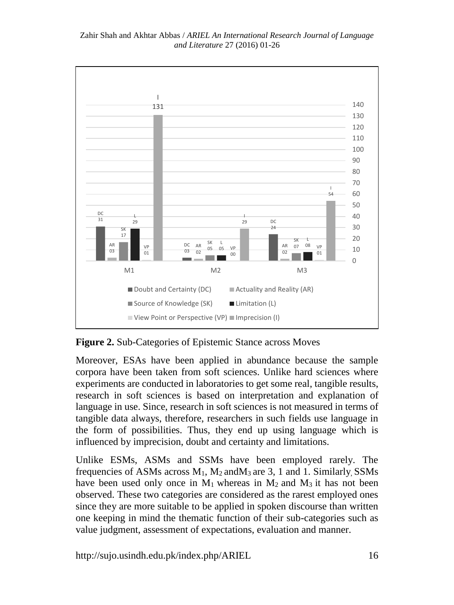

#### Zahir Shah and Akhtar Abbas / *ARIEL An International Research Journal of Language and Literature* 27 (2016) 01-26

**Figure 2.** Sub-Categories of Epistemic Stance across Moves

Moreover, ESAs have been applied in abundance because the sample corpora have been taken from soft sciences. Unlike hard sciences where experiments are conducted in laboratories to get some real, tangible results, research in soft sciences is based on interpretation and explanation of language in use. Since, research in soft sciences is not measured in terms of tangible data always, therefore, researchers in such fields use language in the form of possibilities. Thus, they end up using language which is influenced by imprecision, doubt and certainty and limitations.

Unlike ESMs, ASMs and SSMs have been employed rarely. The frequencies of ASMs across  $M_1$ ,  $M_2$  and  $M_3$  are 3, 1 and 1. Similarly, SSMs have been used only once in  $M_1$  whereas in  $M_2$  and  $M_3$  it has not been observed. These two categories are considered as the rarest employed ones since they are more suitable to be applied in spoken discourse than written one keeping in mind the thematic function of their sub-categories such as value judgment, assessment of expectations, evaluation and manner.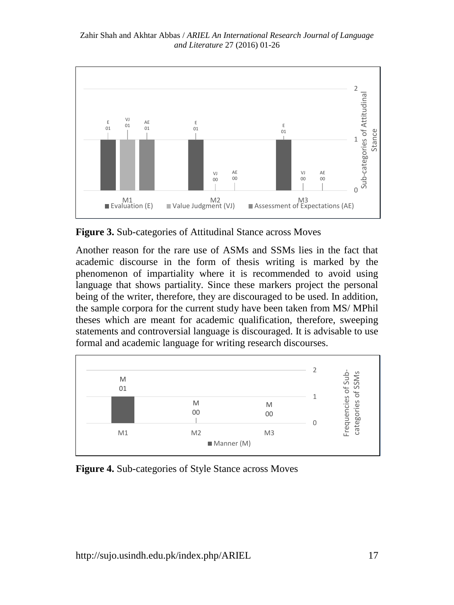Zahir Shah and Akhtar Abbas / *ARIEL An International Research Journal of Language and Literature* 27 (2016) 01-26



**Figure 3.** Sub-categories of Attitudinal Stance across Moves

Another reason for the rare use of ASMs and SSMs lies in the fact that academic discourse in the form of thesis writing is marked by the phenomenon of impartiality where it is recommended to avoid using language that shows partiality. Since these markers project the personal being of the writer, therefore, they are discouraged to be used. In addition, the sample corpora for the current study have been taken from MS/ MPhil theses which are meant for academic qualification, therefore, sweeping statements and controversial language is discouraged. It is advisable to use formal and academic language for writing research discourses.



**Figure 4.** Sub-categories of Style Stance across Moves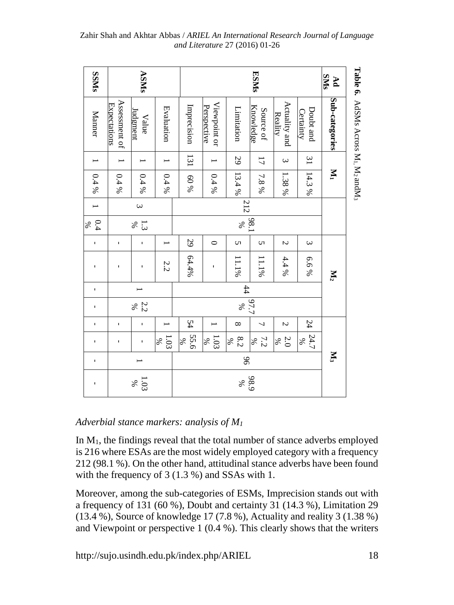| <b>SNNSS</b>                                                                                                                                                                                                                                                                                                       |                               | ASMs                   |              |              | <b>ESMS</b>                 |                 |                        |                          |                        | <b>SMS</b><br>$\mathbf{p}$ |                                                                         |  |  |
|--------------------------------------------------------------------------------------------------------------------------------------------------------------------------------------------------------------------------------------------------------------------------------------------------------------------|-------------------------------|------------------------|--------------|--------------|-----------------------------|-----------------|------------------------|--------------------------|------------------------|----------------------------|-------------------------------------------------------------------------|--|--|
| Manner                                                                                                                                                                                                                                                                                                             | Assessment of<br>Expectations | udgment<br>Value       | Evaluation   | Imprecision  | Viewpoint or<br>Perspective | Limitation      | Knowledge<br>Source of | Actuality and<br>Reality | Doubt and<br>Certainty | Sub-categories             | Table 6. AdSMs Across M <sub>1</sub> , M <sub>2</sub> andM <sub>3</sub> |  |  |
|                                                                                                                                                                                                                                                                                                                    |                               |                        |              | 131          |                             | 29              | $\overline{L}$         | $\omega$                 | $\overline{31}$        |                            |                                                                         |  |  |
| $0.4\ \%$                                                                                                                                                                                                                                                                                                          | $0.4\%$                       | $0.4\%$                | $0.4\%$      | 60%          | $0.4\%$                     | 13.4%           | $7.8\,\%$              | 1.38%                    | 14.3%                  | $\mathbf{M}$               |                                                                         |  |  |
|                                                                                                                                                                                                                                                                                                                    |                               | $\omega$               |              |              |                             | 212             |                        |                          |                        |                            |                                                                         |  |  |
| 0.4<br>%                                                                                                                                                                                                                                                                                                           |                               | 1.3 <sup>8</sup>       |              |              |                             | $\%$            | 98.                    |                          |                        |                            |                                                                         |  |  |
| $\mathsf I$                                                                                                                                                                                                                                                                                                        | $\mathbf I$                   | $\mathbf I$            |              | 29           | $\circ$                     | S               | S                      | Z                        | $\boldsymbol{\omega}$  |                            |                                                                         |  |  |
| ı                                                                                                                                                                                                                                                                                                                  | ı                             | ı                      | 2.2          | 64.4%        | I                           | $11.1\%$        | $11.1\%$               | 4.4%                     | 6.6%                   | $\mathbf{M}_2$             |                                                                         |  |  |
| 1                                                                                                                                                                                                                                                                                                                  |                               |                        |              |              |                             | #               |                        |                          |                        |                            |                                                                         |  |  |
|                                                                                                                                                                                                                                                                                                                    |                               | $\frac{2.2}{8}$        |              |              |                             | %               | 67.7                   |                          |                        |                            |                                                                         |  |  |
| $\mathbf I$                                                                                                                                                                                                                                                                                                        | $\mathbf{I}$                  | ı,                     |              | 54           |                             | $\infty$        | 7                      | Z                        | 24                     |                            |                                                                         |  |  |
| 1                                                                                                                                                                                                                                                                                                                  | $\blacksquare$                | 1                      | 1.03<br>$\%$ | 55.6<br>$\%$ | 1.03<br>$\%$                | $8.2\,$<br>$\%$ | $\frac{7.2}{8}$        | $\frac{2.0}{8}$          | $24.7$<br>%            |                            |                                                                         |  |  |
| ı,                                                                                                                                                                                                                                                                                                                 |                               | $\mathbf{N}_3$<br>$\%$ |              |              |                             |                 |                        |                          |                        |                            |                                                                         |  |  |
| ı                                                                                                                                                                                                                                                                                                                  |                               | 98.9<br>$-88$<br>$\%$  |              |              |                             |                 |                        |                          |                        |                            |                                                                         |  |  |
| Adverbial stance markers: analysis of $M_1$                                                                                                                                                                                                                                                                        |                               |                        |              |              |                             |                 |                        |                          |                        |                            |                                                                         |  |  |
| In $M_1$ , the findings reveal that the total number of stance adverbs employed<br>is 216 where ESAs are the most widely employed category with a frequency<br>212 (98.1 %). On the other hand, attitudinal stance adverbs have been found<br>with the frequency of $3(1.3\%)$ and SSAs with 1.                    |                               |                        |              |              |                             |                 |                        |                          |                        |                            |                                                                         |  |  |
| Moreover, among the sub-categories of ESMs, Imprecision stands out with<br>a frequency of 131 (60 %), Doubt and certainty 31 (14.3 %), Limitation 29<br>$(13.4\%)$ , Source of knowledge 17 (7.8%), Actuality and reality 3 (1.38%)<br>and Viewpoint or perspective 1 (0.4 %). This clearly shows that the writers |                               |                        |              |              |                             |                 |                        |                          |                        |                            |                                                                         |  |  |

Zahir Shah and Akhtar Abbas / *ARIEL An International Research Journal of Language and Literature* 27 (2016) 01-26

#### *Adverbial stance markers: analysis of M<sup>1</sup>*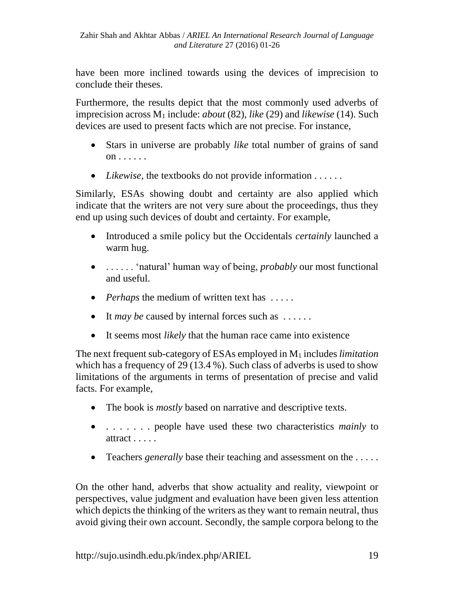have been more inclined towards using the devices of imprecision to conclude their theses.

Furthermore, the results depict that the most commonly used adverbs of imprecision across M<sup>1</sup> include: *about* (82), *like* (29) and *likewise* (14). Such devices are used to present facts which are not precise. For instance,

- Stars in universe are probably *like* total number of grains of sand on . . . . . .
- *Likewise*, the textbooks do not provide information . . . . . .

Similarly, ESAs showing doubt and certainty are also applied which indicate that the writers are not very sure about the proceedings, thus they end up using such devices of doubt and certainty. For example,

- Introduced a smile policy but the Occidentals *certainly* launched a warm hug.
- . . . . . . 'natural' human way of being, *probably* our most functional and useful.
- *Perhaps* the medium of written text has .....
- It *may be* caused by internal forces such as ......
- It seems most *likely* that the human race came into existence

The next frequent sub-category of ESAs employed in M<sup>1</sup> includes *limitation*  which has a frequency of 29 (13.4 %). Such class of adverbs is used to show limitations of the arguments in terms of presentation of precise and valid facts. For example,

- The book is *mostly* based on narrative and descriptive texts.
- . . . . . . . people have used these two characteristics *mainly* to attract . . . . .
- Teachers *generally* base their teaching and assessment on the .....

On the other hand, adverbs that show actuality and reality, viewpoint or perspectives, value judgment and evaluation have been given less attention which depicts the thinking of the writers as they want to remain neutral, thus avoid giving their own account. Secondly, the sample corpora belong to the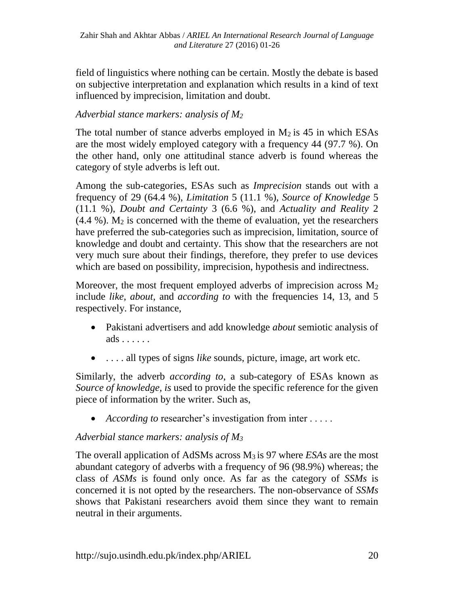field of linguistics where nothing can be certain. Mostly the debate is based on subjective interpretation and explanation which results in a kind of text influenced by imprecision, limitation and doubt.

## *Adverbial stance markers: analysis of M<sup>2</sup>*

The total number of stance adverbs employed in  $M_2$  is 45 in which ESAs are the most widely employed category with a frequency 44 (97.7 %). On the other hand, only one attitudinal stance adverb is found whereas the category of style adverbs is left out.

Among the sub-categories, ESAs such as *Imprecision* stands out with a frequency of 29 (64.4 %), *Limitation* 5 (11.1 %), *Source of Knowledge* 5 (11.1 %), *Doubt and Certainty* 3 (6.6 %), and *Actuality and Reality* 2  $(4.4\%)$ .  $M_2$  is concerned with the theme of evaluation, yet the researchers have preferred the sub-categories such as imprecision, limitation, source of knowledge and doubt and certainty. This show that the researchers are not very much sure about their findings, therefore, they prefer to use devices which are based on possibility, imprecision, hypothesis and indirectness.

Moreover, the most frequent employed adverbs of imprecision across  $M_2$ include *like*, *about*, and *according to* with the frequencies 14, 13, and 5 respectively. For instance,

- Pakistani advertisers and add knowledge *about* semiotic analysis of ads . . . . . .
- . . . . all types of signs *like* sounds, picture, image, art work etc.

Similarly, the adverb *according to*, a sub-category of ESAs known as *Source of knowledge, is* used to provide the specific reference for the given piece of information by the writer. Such as,

• *According to* researcher's investigation from inter . . . . .

## *Adverbial stance markers: analysis of M<sup>3</sup>*

The overall application of AdSMs across M3 is 97 where *ESAs* are the most abundant category of adverbs with a frequency of 96 (98.9%) whereas; the class of *ASMs* is found only once. As far as the category of *SSMs* is concerned it is not opted by the researchers. The non-observance of *SSMs* shows that Pakistani researchers avoid them since they want to remain neutral in their arguments.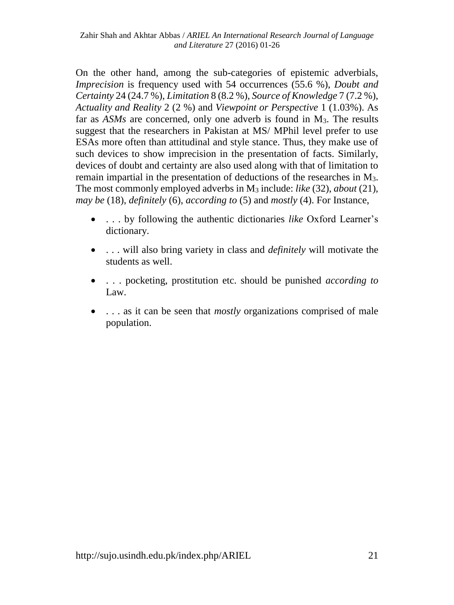On the other hand, among the sub-categories of epistemic adverbials, *Imprecision* is frequency used with 54 occurrences (55.6 %), *Doubt and Certainty* 24 (24.7 %), *Limitation* 8 (8.2 %), *Source of Knowledge* 7 (7.2 %), *Actuality and Reality* 2 (2 %) and *Viewpoint or Perspective* 1 (1.03%). As far as *ASMs* are concerned, only one adverb is found in M<sub>3</sub>. The results suggest that the researchers in Pakistan at MS/ MPhil level prefer to use ESAs more often than attitudinal and style stance. Thus, they make use of such devices to show imprecision in the presentation of facts. Similarly, devices of doubt and certainty are also used along with that of limitation to remain impartial in the presentation of deductions of the researches in M3. The most commonly employed adverbs in M<sup>3</sup> include: *like* (32), *about* (21), *may be* (18), *definitely* (6), *according to* (5) and *mostly* (4). For Instance,

- . . . by following the authentic dictionaries *like* Oxford Learner's dictionary.
- . . . will also bring variety in class and *definitely* will motivate the students as well.
- . . . pocketing, prostitution etc. should be punished *according to* Law.
- ... as it can be seen that *mostly* organizations comprised of male population.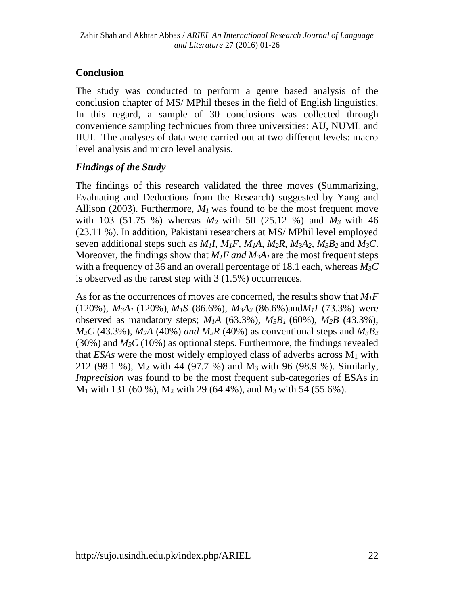## **Conclusion**

The study was conducted to perform a genre based analysis of the conclusion chapter of MS/ MPhil theses in the field of English linguistics. In this regard, a sample of 30 conclusions was collected through convenience sampling techniques from three universities: AU, NUML and IIUI. The analyses of data were carried out at two different levels: macro level analysis and micro level analysis.

## *Findings of the Study*

The findings of this research validated the three moves (Summarizing, Evaluating and Deductions from the Research) suggested by Yang and Allison (2003). Furthermore,  $M<sub>1</sub>$  was found to be the most frequent move with 103 (51.75 %) whereas *M2* with 50 (25.12 %) and *M3* with 46 (23.11 %). In addition, Pakistani researchers at MS/ MPhil level employed seven additional steps such as  $M_1I$ ,  $M_1F$ ,  $M_1A$ ,  $M_2R$ ,  $M_3A_2$ ,  $M_3B_2$  and  $M_3C$ . Moreover, the findings show that  $M_1F$  *and*  $M_3A_1$  are the most frequent steps with a frequency of 36 and an overall percentage of 18.1 each, whereas *M3C*  is observed as the rarest step with 3 (1.5%) occurrences.

As for as the occurrences of moves are concerned, the results show that *M1F*  (120%)*, M3A1* (120%)*, M1S* (86.6%)*, M3A2* (86.6%)and*M1I* (73.3%) were observed as mandatory steps;  $M_1A$  (63.3%),  $M_3B_1$  (60%),  $M_2B$  (43.3%),  $M_2C$  (43.3%),  $M_2A$  (40%) *and*  $M_2R$  (40%) as conventional steps and  $M_3B_2$ (30%) and  $M<sub>3</sub>C$  (10%) as optional steps. Furthermore, the findings revealed that  $ESAs$  were the most widely employed class of adverbs across  $M_1$  with 212 (98.1 %), M<sup>2</sup> with 44 (97.7 %) and M3 with 96 (98.9 %). Similarly, *Imprecision* was found to be the most frequent sub-categories of ESAs in  $M_1$  with 131 (60 %),  $M_2$  with 29 (64.4%), and  $M_3$  with 54 (55.6%).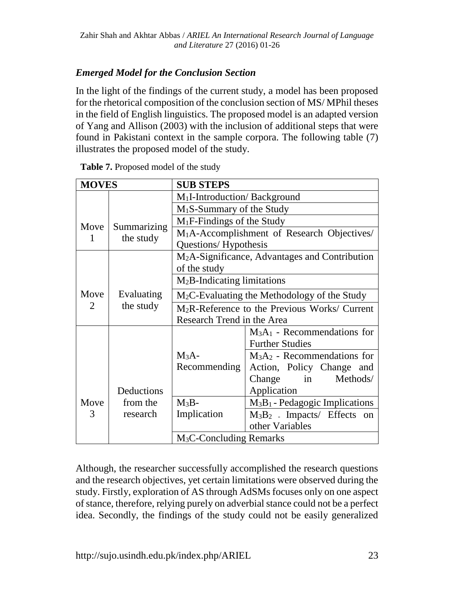# *Emerged Model for the Conclusion Section*

In the light of the findings of the current study, a model has been proposed for the rhetorical composition of the conclusion section of MS/ MPhil theses in the field of English linguistics. The proposed model is an adapted version of Yang and Allison (2003) with the inclusion of additional steps that were found in Pakistani context in the sample corpora. The following table (7) illustrates the proposed model of the study.

| <b>MOVES</b> |                          | <b>SUB STEPS</b>                                           |                                                           |  |  |  |  |  |  |
|--------------|--------------------------|------------------------------------------------------------|-----------------------------------------------------------|--|--|--|--|--|--|
|              |                          | M <sub>1</sub> I-Introduction/Background                   |                                                           |  |  |  |  |  |  |
|              |                          | $M_1S$ -Summary of the Study                               |                                                           |  |  |  |  |  |  |
| Move         |                          | $M_1F$ -Findings of the Study                              |                                                           |  |  |  |  |  |  |
|              | Summarizing<br>the study | M <sub>1</sub> A-Accomplishment of Research Objectives/    |                                                           |  |  |  |  |  |  |
|              |                          | Questions/Hypothesis                                       |                                                           |  |  |  |  |  |  |
|              |                          | M <sub>2</sub> A-Significance, Advantages and Contribution |                                                           |  |  |  |  |  |  |
|              |                          | of the study                                               |                                                           |  |  |  |  |  |  |
|              |                          | $M_2B$ -Indicating limitations                             |                                                           |  |  |  |  |  |  |
| Move         | Evaluating               | $M_2C$ -Evaluating the Methodology of the Study            |                                                           |  |  |  |  |  |  |
| 2            | the study                |                                                            | M <sub>2</sub> R-Reference to the Previous Works/ Current |  |  |  |  |  |  |
|              |                          | Research Trend in the Area                                 |                                                           |  |  |  |  |  |  |
|              |                          |                                                            | $M3A1$ - Recommendations for                              |  |  |  |  |  |  |
|              |                          |                                                            | <b>Further Studies</b>                                    |  |  |  |  |  |  |
|              |                          | $M_3A-$                                                    | $M_3A_2$ - Recommendations for                            |  |  |  |  |  |  |
|              |                          | Recommending                                               | Action, Policy Change and                                 |  |  |  |  |  |  |
|              |                          |                                                            | Methods/<br>in<br>Change                                  |  |  |  |  |  |  |
|              | Deductions               | Application                                                |                                                           |  |  |  |  |  |  |
| Move         | from the                 | $M_3B-$                                                    | $M_3B_1$ - Pedagogic Implications                         |  |  |  |  |  |  |
| 3            | research                 | Implication                                                | $M_3B_2$ . Impacts/ Effects on                            |  |  |  |  |  |  |
|              |                          |                                                            | other Variables                                           |  |  |  |  |  |  |
|              |                          | $M_3C$ -Concluding Remarks                                 |                                                           |  |  |  |  |  |  |

**Table 7.** Proposed model of the study

Although, the researcher successfully accomplished the research questions and the research objectives, yet certain limitations were observed during the study. Firstly, exploration of AS through AdSMs focuses only on one aspect of stance, therefore, relying purely on adverbial stance could not be a perfect idea. Secondly, the findings of the study could not be easily generalized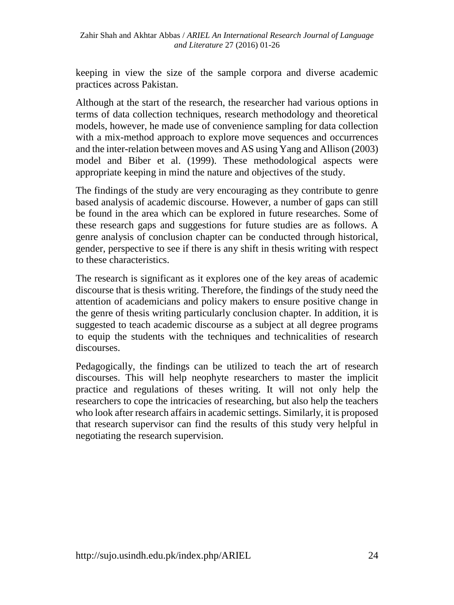keeping in view the size of the sample corpora and diverse academic practices across Pakistan.

Although at the start of the research, the researcher had various options in terms of data collection techniques, research methodology and theoretical models, however, he made use of convenience sampling for data collection with a mix-method approach to explore move sequences and occurrences and the inter-relation between moves and AS using Yang and Allison (2003) model and Biber et al. (1999). These methodological aspects were appropriate keeping in mind the nature and objectives of the study.

The findings of the study are very encouraging as they contribute to genre based analysis of academic discourse. However, a number of gaps can still be found in the area which can be explored in future researches. Some of these research gaps and suggestions for future studies are as follows. A genre analysis of conclusion chapter can be conducted through historical, gender, perspective to see if there is any shift in thesis writing with respect to these characteristics.

The research is significant as it explores one of the key areas of academic discourse that is thesis writing. Therefore, the findings of the study need the attention of academicians and policy makers to ensure positive change in the genre of thesis writing particularly conclusion chapter. In addition, it is suggested to teach academic discourse as a subject at all degree programs to equip the students with the techniques and technicalities of research discourses.

Pedagogically, the findings can be utilized to teach the art of research discourses. This will help neophyte researchers to master the implicit practice and regulations of theses writing. It will not only help the researchers to cope the intricacies of researching, but also help the teachers who look after research affairs in academic settings. Similarly, it is proposed that research supervisor can find the results of this study very helpful in negotiating the research supervision.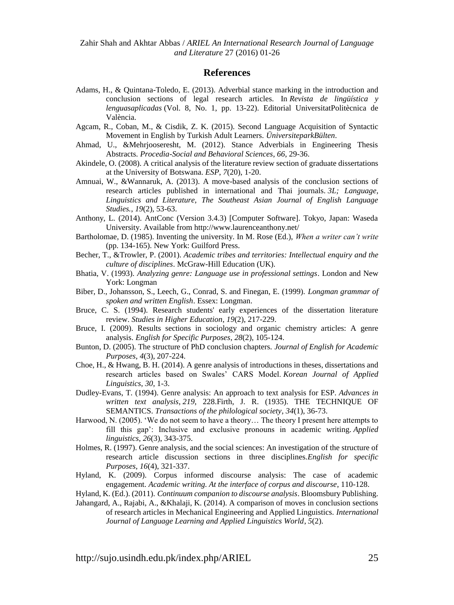Zahir Shah and Akhtar Abbas / *ARIEL An International Research Journal of Language and Literature* 27 (2016) 01-26

#### **References**

- Adams, H., & Quintana-Toledo, E. (2013). Adverbial stance marking in the introduction and conclusion sections of legal research articles. In *Revista de lingüística y lenguasaplicadas* (Vol. 8, No. 1, pp. 13-22). Editorial UniversitatPolitècnica de València.
- Agcam, R., Coban, M., & Cisdik, Z. K. (2015). Second Language Acquisition of Syntactic Movement in English by Turkish Adult Learners. *ÜniversiteparkBülten*.
- Ahmad, U., &Mehrjooseresht, M. (2012). Stance Adverbials in Engineering Thesis Abstracts. *Procedia-Social and Behavioral Sciences*, *66*, 29-36.
- Akindele, O. (2008). A critical analysis of the literature review section of graduate dissertations at the University of Botswana. *ESP*, *7*(20), 1-20.
- Amnuai, W., &Wannaruk, A. (2013). A move-based analysis of the conclusion sections of research articles published in international and Thai journals. *3L; Language, Linguistics and Literature, The Southeast Asian Journal of English Language Studies.*, *19*(2), 53-63.
- Anthony, L. (2014). AntConc (Version 3.4.3) [Computer Software]. Tokyo, Japan: Waseda University. Available from http://www.laurenceanthony.net/
- Bartholomae, D. (1985). Inventing the university. In M. Rose (Ed.), *When a writer can't write* (pp. 134-165). New York: Guilford Press.
- Becher, T., &Trowler, P. (2001). *Academic tribes and territories: Intellectual enquiry and the culture of disciplines*. McGraw-Hill Education (UK).
- Bhatia, V. (1993). *Analyzing genre: Language use in professional settings*. London and New York: Longman
- Biber, D., Johansson, S., Leech, G., Conrad, S. and Finegan, E. (1999). *Longman grammar of spoken and written English*. Essex: Longman.
- Bruce, C. S. (1994). Research students' early experiences of the dissertation literature review. *Studies in Higher Education*, *19*(2), 217-229.
- Bruce, I. (2009). Results sections in sociology and organic chemistry articles: A genre analysis. *English for Specific Purposes*, *28*(2), 105-124.
- Bunton, D. (2005). The structure of PhD conclusion chapters. *Journal of English for Academic Purposes*, *4*(3), 207-224.
- Choe, H., & Hwang, B. H. (2014). A genre analysis of introductions in theses, dissertations and research articles based on Swales' CARS Model. *Korean Journal of Applied Linguistics*, *30*, 1-3.
- Dudley-Evans, T. (1994). Genre analysis: An approach to text analysis for ESP. *Advances in written text analysis*, *219*, 228.Firth, J. R. (1935). THE TECHNIQUE OF SEMANTICS. *Transactions of the philological society*, *34*(1), 36-73.
- Harwood, N. (2005). 'We do not seem to have a theory… The theory I present here attempts to fill this gap': Inclusive and exclusive pronouns in academic writing. *Applied linguistics*, *26*(3), 343-375.
- Holmes, R. (1997). Genre analysis, and the social sciences: An investigation of the structure of research article discussion sections in three disciplines.*English for specific Purposes*, *16*(4), 321-337.
- Hyland, K. (2009). Corpus informed discourse analysis: The case of academic engagement. *Academic writing. At the interface of corpus and discourse*, 110-128.
- Hyland, K. (Ed.). (2011). *Continuum companion to discourse analysis*. Bloomsbury Publishing.
- Jahangard, A., Rajabi, A., &Khalaji, K. (2014). A comparison of moves in conclusion sections of research articles in Mechanical Engineering and Applied Linguistics. *International Journal of Language Learning and Applied Linguistics World*, *5*(2).